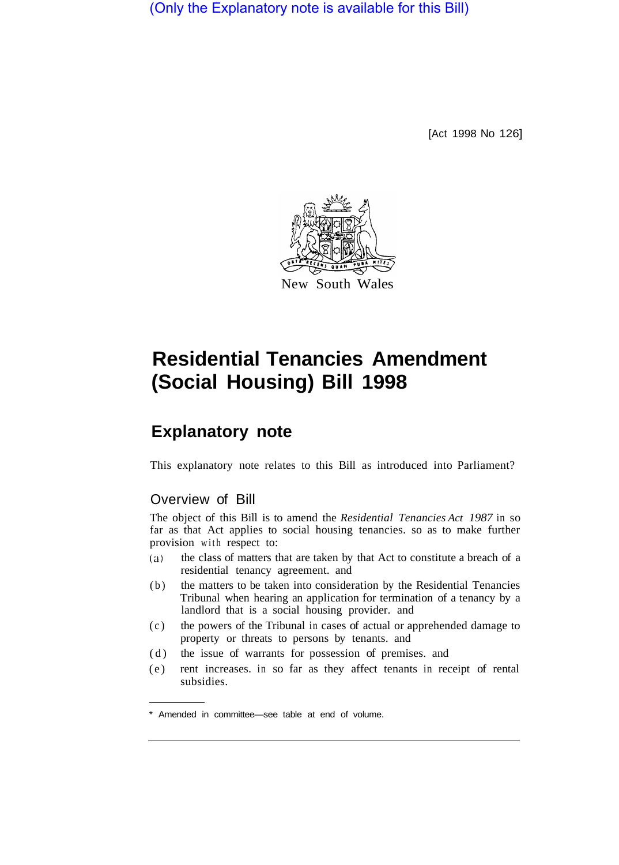(Only the Explanatory note is available for this Bill)

[Act 1998 No 126]



# **Residential Tenancies Amendment (Social Housing) Bill 1998**

# **Explanatory note**

This explanatory note relates to this Bill as introduced into Parliament?

## Overview of Bill

The object of this Bill is to amend the *Residential Tenancies Act 1987* in so far as that Act applies to social housing tenancies. so as to make further provision with respect to:

- (a) the class of matters that are taken by that Act to constitute a breach of a residential tenancy agreement. and
- (b) the matters to be taken into consideration by the Residential Tenancies Tribunal when hearing an application for termination of a tenancy by a landlord that is a social housing provider. and
- (c) the powers of the Tribunal in cases of actual or apprehended damage to property or threats to persons by tenants. and
- (d) the issue of warrants for possession of premises. and
- (e) rent increases. in so far as they affect tenants in receipt of rental subsidies.

<sup>\*</sup> Amended in committee—see table at end of volume.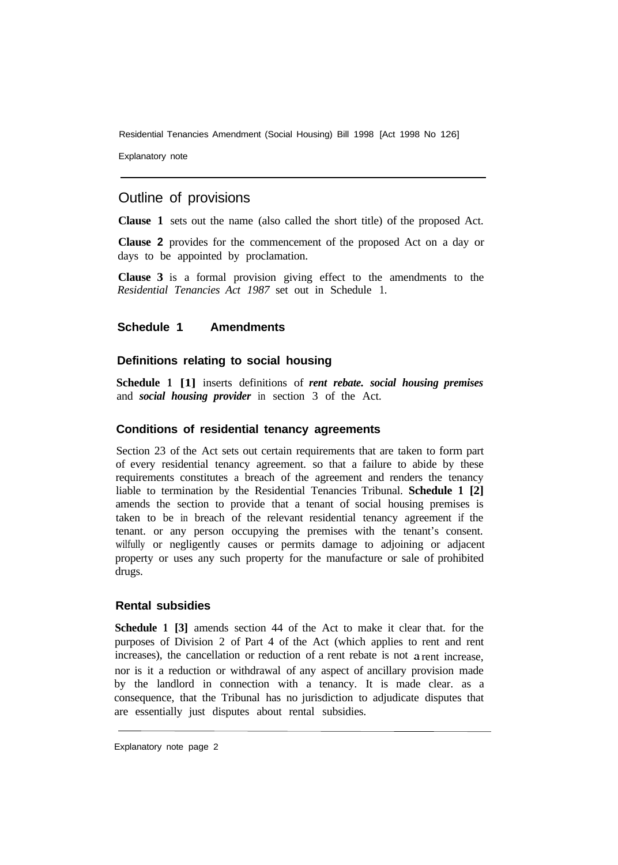Residential Tenancies Amendment (Social Housing) Bill 1998 [Act 1998 No 126]

Explanatory note

### Outline of provisions

**Clause 1** sets out the name (also called the short title) of the proposed Act.

**Clause 2** provides for the commencement of the proposed Act on a day or days to be appointed by proclamation.

**Clause 3** is a formal provision giving effect to the amendments to the *Residential Tenancies Act 1987* set out in Schedule 1.

#### **Schedule 1 Amendments**

#### **Definitions relating to social housing**

**Schedule 1 [1]** inserts definitions of *rent rebate. social housing premises*  and *social housing provider* in section 3 of the Act.

#### **Conditions of residential tenancy agreements**

Section 23 of the Act sets out certain requirements that are taken to form part of every residential tenancy agreement. so that a failure to abide by these requirements constitutes a breach of the agreement and renders the tenancy liable to termination by the Residential Tenancies Tribunal. **Schedule 1 [2]**  amends the section to provide that a tenant of social housing premises is taken to be in breach of the relevant residential tenancy agreement if the tenant. or any person occupying the premises with the tenant's consent. wilfully or negligently causes or permits damage to adjoining or adjacent property or uses any such property for the manufacture or sale of prohibited drugs.

#### **Rental subsidies**

**Schedule 1 [3]** amends section 44 of the Act to make it clear that. for the purposes of Division 2 of Part 4 of the Act (which applies to rent and rent increases), the cancellation or reduction of a rent rebate is not a rent increase, nor is it a reduction or withdrawal of any aspect of ancillary provision made by the landlord in connection with a tenancy. It is made clear. as a consequence, that the Tribunal has no jurisdiction to adjudicate disputes that are essentially just disputes about rental subsidies.

Explanatory note page 2